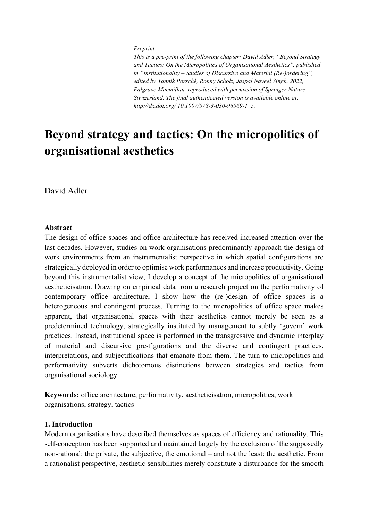#### *Preprint*

*This is a pre-print of the following chapter: David Adler, "Beyond Strategy and Tactics: On the Micropolitics of Organisational Aesthetics", published in "Institutionality – Studies of Discursive and Material (Re-)ordering", edited by Yannik Porsché, Ronny Scholz, Jaspal Naveel Singh, 2022, Palgrave Macmillan, reproduced with permission of Springer Nature Siwtzerland. The final authenticated version is available online at: http://dx.doi.org/ 10.1007/978-3-030-96969-1\_5.*

# **Beyond strategy and tactics: On the micropolitics of organisational aesthetics**

David Adler

#### **Abstract**

The design of office spaces and office architecture has received increased attention over the last decades. However, studies on work organisations predominantly approach the design of work environments from an instrumentalist perspective in which spatial configurations are strategically deployed in order to optimise work performances and increase productivity. Going beyond this instrumentalist view, I develop a concept of the micropolitics of organisational aestheticisation. Drawing on empirical data from a research project on the performativity of contemporary office architecture, I show how the (re-)design of office spaces is a heterogeneous and contingent process. Turning to the micropolitics of office space makes apparent, that organisational spaces with their aesthetics cannot merely be seen as a predetermined technology, strategically instituted by management to subtly 'govern' work practices. Instead, institutional space is performed in the transgressive and dynamic interplay of material and discursive pre-figurations and the diverse and contingent practices, interpretations, and subjectifications that emanate from them. The turn to micropolitics and performativity subverts dichotomous distinctions between strategies and tactics from organisational sociology.

**Keywords:** office architecture, performativity, aestheticisation, micropolitics, work organisations, strategy, tactics

#### **1. Introduction**

Modern organisations have described themselves as spaces of efficiency and rationality. This self-conception has been supported and maintained largely by the exclusion of the supposedly non-rational: the private, the subjective, the emotional – and not the least: the aesthetic. From a rationalist perspective, aesthetic sensibilities merely constitute a disturbance for the smooth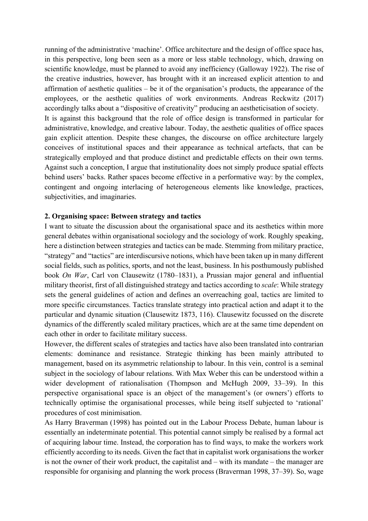running of the administrative 'machine'. Office architecture and the design of office space has, in this perspective, long been seen as a more or less stable technology, which, drawing on scientific knowledge, must be planned to avoid any inefficiency (Galloway 1922). The rise of the creative industries, however, has brought with it an increased explicit attention to and affirmation of aesthetic qualities – be it of the organisation's products, the appearance of the employees, or the aesthetic qualities of work environments. Andreas Reckwitz (2017) accordingly talks about a "dispositive of creativity" producing an aestheticisation of society. It is against this background that the role of office design is transformed in particular for administrative, knowledge, and creative labour. Today, the aesthetic qualities of office spaces gain explicit attention. Despite these changes, the discourse on office architecture largely conceives of institutional spaces and their appearance as technical artefacts, that can be strategically employed and that produce distinct and predictable effects on their own terms. Against such a conception, I argue that institutionality does not simply produce spatial effects behind users' backs. Rather spaces become effective in a performative way: by the complex, contingent and ongoing interlacing of heterogeneous elements like knowledge, practices, subjectivities, and imaginaries.

## **2. Organising space: Between strategy and tactics**

I want to situate the discussion about the organisational space and its aesthetics within more general debates within organisational sociology and the sociology of work. Roughly speaking, here a distinction between strategies and tactics can be made. Stemming from military practice, "strategy" and "tactics" are interdiscursive notions, which have been taken up in many different social fields, such as politics, sports, and not the least, business. In his posthumously published book *On War*, Carl von Clausewitz (1780–1831), a Prussian major general and influential military theorist, first of all distinguished strategy and tactics according to *scale*: While strategy sets the general guidelines of action and defines an overreaching goal, tactics are limited to more specific circumstances. Tactics translate strategy into practical action and adapt it to the particular and dynamic situation (Clausewitz 1873, 116). Clausewitz focussed on the discrete dynamics of the differently scaled military practices, which are at the same time dependent on each other in order to facilitate military success.

However, the different scales of strategies and tactics have also been translated into contrarian elements: dominance and resistance. Strategic thinking has been mainly attributed to management, based on its asymmetric relationship to labour. In this vein, control is a seminal subject in the sociology of labour relations. With Max Weber this can be understood within a wider development of rationalisation (Thompson and McHugh 2009, 33–39). In this perspective organisational space is an object of the management's (or owners') efforts to technically optimise the organisational processes, while being itself subjected to 'rational' procedures of cost minimisation.

As Harry Braverman (1998) has pointed out in the Labour Process Debate, human labour is essentially an indeterminate potential. This potential cannot simply be realised by a formal act of acquiring labour time. Instead, the corporation has to find ways, to make the workers work efficiently according to its needs. Given the fact that in capitalist work organisations the worker is not the owner of their work product, the capitalist and – with its mandate – the manager are responsible for organising and planning the work process (Braverman 1998, 37–39). So, wage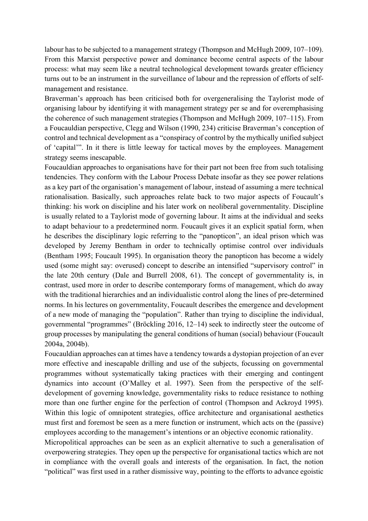labour has to be subjected to a management strategy (Thompson and McHugh 2009, 107–109). From this Marxist perspective power and dominance become central aspects of the labour process: what may seem like a neutral technological development towards greater efficiency turns out to be an instrument in the surveillance of labour and the repression of efforts of selfmanagement and resistance.

Braverman's approach has been criticised both for overgeneralising the Taylorist mode of organising labour by identifying it with management strategy per se and for overemphasising the coherence of such management strategies (Thompson and McHugh 2009, 107–115). From a Foucauldian perspective, Clegg and Wilson (1990, 234) criticise Braverman's conception of control and technical development as a "conspiracy of control by the mythically unified subject of 'capital'". In it there is little leeway for tactical moves by the employees. Management strategy seems inescapable.

Foucauldian approaches to organisations have for their part not been free from such totalising tendencies. They conform with the Labour Process Debate insofar as they see power relations as a key part of the organisation's management of labour, instead of assuming a mere technical rationalisation. Basically, such approaches relate back to two major aspects of Foucault's thinking: his work on discipline and his later work on neoliberal governmentality. Discipline is usually related to a Taylorist mode of governing labour. It aims at the individual and seeks to adapt behaviour to a predetermined norm. Foucault gives it an explicit spatial form, when he describes the disciplinary logic referring to the "panopticon", an ideal prison which was developed by Jeremy Bentham in order to technically optimise control over individuals (Bentham 1995; Foucault 1995). In organisation theory the panopticon has become a widely used (some might say: overused) concept to describe an intensified "supervisory control" in the late 20th century (Dale and Burrell 2008, 61). The concept of governmentality is, in contrast, used more in order to describe contemporary forms of management, which do away with the traditional hierarchies and an individualistic control along the lines of pre-determined norms. In his lectures on governmentality, Foucault describes the emergence and development of a new mode of managing the "population". Rather than trying to discipline the individual, governmental "programmes" (Bröckling 2016, 12–14) seek to indirectly steer the outcome of group processes by manipulating the general conditions of human (social) behaviour (Foucault 2004a, 2004b).

Foucauldian approaches can at times have a tendency towards a dystopian projection of an ever more effective and inescapable drilling and use of the subjects, focussing on governmental programmes without systematically taking practices with their emerging and contingent dynamics into account (O'Malley et al. 1997). Seen from the perspective of the selfdevelopment of governing knowledge, governmentality risks to reduce resistance to nothing more than one further engine for the perfection of control (Thompson and Ackroyd 1995). Within this logic of omnipotent strategies, office architecture and organisational aesthetics must first and foremost be seen as a mere function or instrument, which acts on the (passive) employees according to the management's intentions or an objective economic rationality.

Micropolitical approaches can be seen as an explicit alternative to such a generalisation of overpowering strategies. They open up the perspective for organisational tactics which are not in compliance with the overall goals and interests of the organisation. In fact, the notion "political" was first used in a rather dismissive way, pointing to the efforts to advance egoistic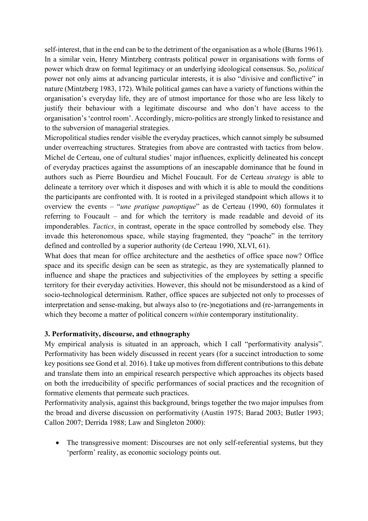self-interest, that in the end can be to the detriment of the organisation as a whole (Burns 1961). In a similar vein, Henry Mintzberg contrasts political power in organisations with forms of power which draw on formal legitimacy or an underlying ideological consensus. So, *political* power not only aims at advancing particular interests, it is also "divisive and conflictive" in nature (Mintzberg 1983, 172). While political games can have a variety of functions within the organisation's everyday life, they are of utmost importance for those who are less likely to justify their behaviour with a legitimate discourse and who don't have access to the organisation's 'control room'. Accordingly, micro-politics are strongly linked to resistance and to the subversion of managerial strategies.

Micropolitical studies render visible the everyday practices, which cannot simply be subsumed under overreaching structures. Strategies from above are contrasted with tactics from below. Michel de Certeau, one of cultural studies' major influences, explicitly delineated his concept of everyday practices against the assumptions of an inescapable dominance that he found in authors such as Pierre Bourdieu and Michel Foucault. For de Certeau *strategy* is able to delineate a territory over which it disposes and with which it is able to mould the conditions the participants are confronted with. It is rooted in a privileged standpoint which allows it to overview the events – "*une pratique panoptique*" as de Certeau (1990, 60) formulates it referring to Foucault – and for which the territory is made readable and devoid of its imponderables. *Tactics*, in contrast, operate in the space controlled by somebody else. They invade this heteronomous space, while staying fragmented, they "poache" in the territory defined and controlled by a superior authority (de Certeau 1990, XLVI, 61).

What does that mean for office architecture and the aesthetics of office space now? Office space and its specific design can be seen as strategic, as they are systematically planned to influence and shape the practices and subjectivities of the employees by setting a specific territory for their everyday activities. However, this should not be misunderstood as a kind of socio-technological determinism. Rather, office spaces are subjected not only to processes of interpretation and sense-making, but always also to (re-)negotiations and (re-)arrangements in which they become a matter of political concern *within* contemporary institutionality.

## **3. Performativity, discourse, and ethnography**

My empirical analysis is situated in an approach, which I call "performativity analysis". Performativity has been widely discussed in recent years (for a succinct introduction to some key positions see Gond et al. 2016). I take up motives from different contributions to this debate and translate them into an empirical research perspective which approaches its objects based on both the irreducibility of specific performances of social practices and the recognition of formative elements that permeate such practices.

Performativity analysis, against this background, brings together the two major impulses from the broad and diverse discussion on performativity (Austin 1975; Barad 2003; Butler 1993; Callon 2007; Derrida 1988; Law and Singleton 2000):

• The transgressive moment: Discourses are not only self-referential systems, but they 'perform' reality, as economic sociology points out.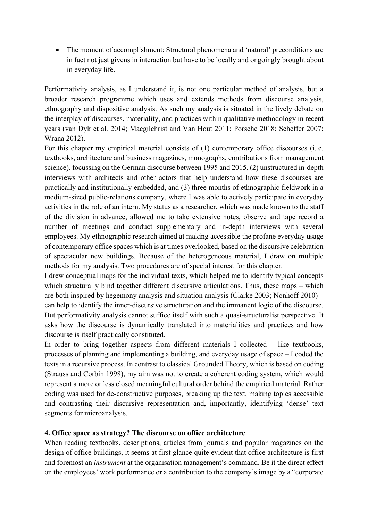• The moment of accomplishment: Structural phenomena and 'natural' preconditions are in fact not just givens in interaction but have to be locally and ongoingly brought about in everyday life.

Performativity analysis, as I understand it, is not one particular method of analysis, but a broader research programme which uses and extends methods from discourse analysis, ethnography and dispositive analysis. As such my analysis is situated in the lively debate on the interplay of discourses, materiality, and practices within qualitative methodology in recent years (van Dyk et al. 2014; Macgilchrist and Van Hout 2011; Porsché 2018; Scheffer 2007; Wrana 2012).

For this chapter my empirical material consists of (1) contemporary office discourses (i. e. textbooks, architecture and business magazines, monographs, contributions from management science), focussing on the German discourse between 1995 and 2015, (2) unstructured in-depth interviews with architects and other actors that help understand how these discourses are practically and institutionally embedded, and (3) three months of ethnographic fieldwork in a medium-sized public-relations company, where I was able to actively participate in everyday activities in the role of an intern. My status as a researcher, which was made known to the staff of the division in advance, allowed me to take extensive notes, observe and tape record a number of meetings and conduct supplementary and in-depth interviews with several employees. My ethnographic research aimed at making accessible the profane everyday usage of contemporary office spaces which is at times overlooked, based on the discursive celebration of spectacular new buildings. Because of the heterogeneous material, I draw on multiple methods for my analysis. Two procedures are of special interest for this chapter.

I drew conceptual maps for the individual texts, which helped me to identify typical concepts which structurally bind together different discursive articulations. Thus, these maps – which are both inspired by hegemony analysis and situation analysis (Clarke 2003; Nonhoff 2010) – can help to identify the inner-discursive structuration and the immanent logic of the discourse. But performativity analysis cannot suffice itself with such a quasi-structuralist perspective. It asks how the discourse is dynamically translated into materialities and practices and how discourse is itself practically constituted.

In order to bring together aspects from different materials I collected – like textbooks, processes of planning and implementing a building, and everyday usage of space – I coded the texts in a recursive process. In contrast to classical Grounded Theory, which is based on coding (Strauss and Corbin 1998), my aim was not to create a coherent coding system, which would represent a more or less closed meaningful cultural order behind the empirical material. Rather coding was used for de-constructive purposes, breaking up the text, making topics accessible and contrasting their discursive representation and, importantly, identifying 'dense' text segments for microanalysis.

## **4. Office space as strategy? The discourse on office architecture**

When reading textbooks, descriptions, articles from journals and popular magazines on the design of office buildings, it seems at first glance quite evident that office architecture is first and foremost an *instrument* at the organisation management's command. Be it the direct effect on the employees' work performance or a contribution to the company's image by a "corporate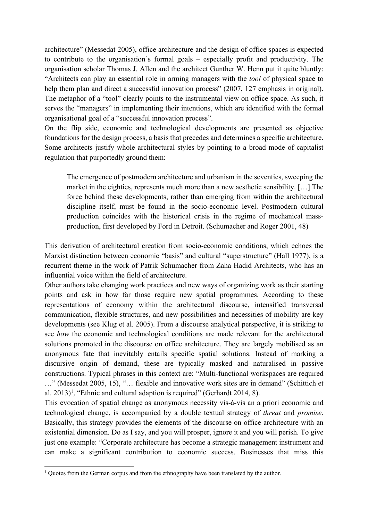architecture" (Messedat 2005), office architecture and the design of office spaces is expected to contribute to the organisation's formal goals – especially profit and productivity. The organisation scholar Thomas J. Allen and the architect Gunther W. Henn put it quite bluntly: "Architects can play an essential role in arming managers with the *tool* of physical space to help them plan and direct a successful innovation process" (2007, 127 emphasis in original). The metaphor of a "tool" clearly points to the instrumental view on office space. As such, it serves the "managers" in implementing their intentions, which are identified with the formal organisational goal of a "successful innovation process".

On the flip side, economic and technological developments are presented as objective foundations for the design process, a basis that precedes and determines a specific architecture. Some architects justify whole architectural styles by pointing to a broad mode of capitalist regulation that purportedly ground them:

The emergence of postmodern architecture and urbanism in the seventies, sweeping the market in the eighties, represents much more than a new aesthetic sensibility. […] The force behind these developments, rather than emerging from within the architectural discipline itself, must be found in the socio-economic level. Postmodern cultural production coincides with the historical crisis in the regime of mechanical massproduction, first developed by Ford in Detroit. (Schumacher and Roger 2001, 48)

This derivation of architectural creation from socio-economic conditions, which echoes the Marxist distinction between economic "basis" and cultural "superstructure" (Hall 1977), is a recurrent theme in the work of Patrik Schumacher from Zaha Hadid Architects, who has an influential voice within the field of architecture.

Other authors take changing work practices and new ways of organizing work as their starting points and ask in how far those require new spatial programmes. According to these representations of economy within the architectural discourse, intensified transversal communication, flexible structures, and new possibilities and necessities of mobility are key developments (see Klug et al. 2005). From a discourse analytical perspective, it is striking to see *how* the economic and technological conditions are made relevant for the architectural solutions promoted in the discourse on office architecture. They are largely mobilised as an anonymous fate that inevitably entails specific spatial solutions. Instead of marking a discursive origin of demand, these are typically masked and naturalised in passive constructions. Typical phrases in this context are: "Multi-functional workspaces are required …" (Messedat 2005, 15), "… flexible and innovative work sites are in demand" (Schittich et al.  $2013$ <sup>1</sup>, "Ethnic and cultural adaption is required" (Gerhardt 2014, 8).

This evocation of spatial change as anonymous necessity vis-à-vis an a priori economic and technological change, is accompanied by a double textual strategy of *threat* and *promise*. Basically, this strategy provides the elements of the discourse on office architecture with an existential dimension. Do as I say, and you will prosper, ignore it and you will perish. To give just one example: "Corporate architecture has become a strategic management instrument and can make a significant contribution to economic success. Businesses that miss this

<sup>&</sup>lt;sup>1</sup> Quotes from the German corpus and from the ethnography have been translated by the author.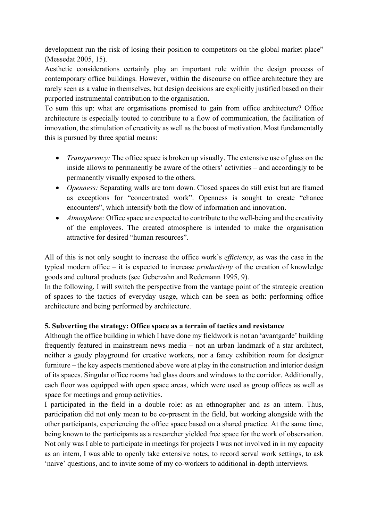development run the risk of losing their position to competitors on the global market place" (Messedat 2005, 15).

Aesthetic considerations certainly play an important role within the design process of contemporary office buildings. However, within the discourse on office architecture they are rarely seen as a value in themselves, but design decisions are explicitly justified based on their purported instrumental contribution to the organisation.

To sum this up: what are organisations promised to gain from office architecture? Office architecture is especially touted to contribute to a flow of communication, the facilitation of innovation, the stimulation of creativity as well as the boost of motivation. Most fundamentally this is pursued by three spatial means:

- *Transparency:* The office space is broken up visually. The extensive use of glass on the inside allows to permanently be aware of the others' activities – and accordingly to be permanently visually exposed to the others.
- *Openness:* Separating walls are torn down. Closed spaces do still exist but are framed as exceptions for "concentrated work". Openness is sought to create "chance encounters", which intensify both the flow of information and innovation.
- *Atmosphere:* Office space are expected to contribute to the well-being and the creativity of the employees. The created atmosphere is intended to make the organisation attractive for desired "human resources".

All of this is not only sought to increase the office work's *efficiency*, as was the case in the typical modern office – it is expected to increase *productivity* of the creation of knowledge goods and cultural products (see Geberzahn and Redemann 1995, 9).

In the following, I will switch the perspective from the vantage point of the strategic creation of spaces to the tactics of everyday usage, which can be seen as both: performing office architecture and being performed by architecture.

## **5. Subverting the strategy: Office space as a terrain of tactics and resistance**

Although the office building in which I have done my fieldwork is not an 'avantgarde' building frequently featured in mainstream news media – not an urban landmark of a star architect, neither a gaudy playground for creative workers, nor a fancy exhibition room for designer furniture – the key aspects mentioned above were at play in the construction and interior design of its spaces. Singular office rooms had glass doors and windows to the corridor. Additionally, each floor was equipped with open space areas, which were used as group offices as well as space for meetings and group activities.

I participated in the field in a double role: as an ethnographer and as an intern. Thus, participation did not only mean to be co-present in the field, but working alongside with the other participants, experiencing the office space based on a shared practice. At the same time, being known to the participants as a researcher yielded free space for the work of observation. Not only was I able to participate in meetings for projects I was not involved in in my capacity as an intern, I was able to openly take extensive notes, to record serval work settings, to ask 'naive' questions, and to invite some of my co-workers to additional in-depth interviews.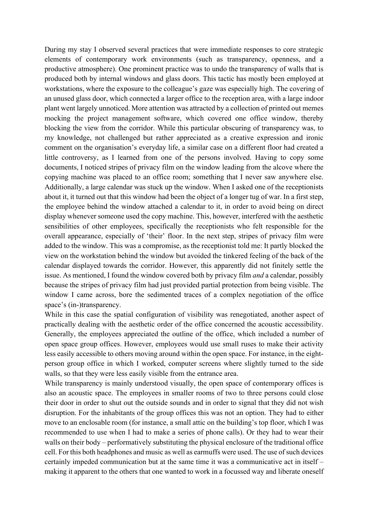During my stay I observed several practices that were immediate responses to core strategic elements of contemporary work environments (such as transparency, openness, and a productive atmosphere). One prominent practice was to undo the transparency of walls that is produced both by internal windows and glass doors. This tactic has mostly been employed at workstations, where the exposure to the colleague's gaze was especially high. The covering of an unused glass door, which connected a larger office to the reception area, with a large indoor plant went largely unnoticed. More attention was attracted by a collection of printed out memes mocking the project management software, which covered one office window, thereby blocking the view from the corridor. While this particular obscuring of transparency was, to my knowledge, not challenged but rather appreciated as a creative expression and ironic comment on the organisation's everyday life, a similar case on a different floor had created a little controversy, as I learned from one of the persons involved. Having to copy some documents, I noticed stripes of privacy film on the window leading from the alcove where the copying machine was placed to an office room; something that I never saw anywhere else. Additionally, a large calendar was stuck up the window. When I asked one of the receptionists about it, it turned out that this window had been the object of a longer tug of war. In a first step, the employee behind the window attached a calendar to it, in order to avoid being on direct display whenever someone used the copy machine. This, however, interfered with the aesthetic sensibilities of other employees, specifically the receptionists who felt responsible for the overall appearance, especially of 'their' floor. In the next step, stripes of privacy film were added to the window. This was a compromise, as the receptionist told me: It partly blocked the view on the workstation behind the window but avoided the tinkered feeling of the back of the calendar displayed towards the corridor. However, this apparently did not finitely settle the issue. As mentioned, I found the window covered both by privacy film *and* a calendar, possibly because the stripes of privacy film had just provided partial protection from being visible. The window I came across, bore the sedimented traces of a complex negotiation of the office space's (in-)transparency.

While in this case the spatial configuration of visibility was renegotiated, another aspect of practically dealing with the aesthetic order of the office concerned the acoustic accessibility. Generally, the employees appreciated the outline of the office, which included a number of open space group offices. However, employees would use small ruses to make their activity less easily accessible to others moving around within the open space. For instance, in the eightperson group office in which I worked, computer screens where slightly turned to the side walls, so that they were less easily visible from the entrance area.

While transparency is mainly understood visually, the open space of contemporary offices is also an acoustic space. The employees in smaller rooms of two to three persons could close their door in order to shut out the outside sounds and in order to signal that they did not wish disruption. For the inhabitants of the group offices this was not an option. They had to either move to an enclosable room (for instance, a small attic on the building's top floor, which I was recommended to use when I had to make a series of phone calls). Or they had to wear their walls on their body – performatively substituting the physical enclosure of the traditional office cell. For this both headphones and music as well as earmuffs were used. The use of such devices certainly impeded communication but at the same time it was a communicative act in itself – making it apparent to the others that one wanted to work in a focussed way and liberate oneself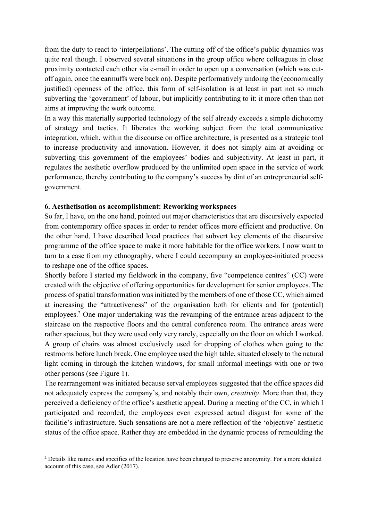from the duty to react to 'interpellations'. The cutting off of the office's public dynamics was quite real though. I observed several situations in the group office where colleagues in close proximity contacted each other via e-mail in order to open up a conversation (which was cutoff again, once the earmuffs were back on). Despite performatively undoing the (economically justified) openness of the office, this form of self-isolation is at least in part not so much subverting the 'government' of labour, but implicitly contributing to it: it more often than not aims at improving the work outcome.

In a way this materially supported technology of the self already exceeds a simple dichotomy of strategy and tactics. It liberates the working subject from the total communicative integration, which, within the discourse on office architecture, is presented as a strategic tool to increase productivity and innovation. However, it does not simply aim at avoiding or subverting this government of the employees' bodies and subjectivity. At least in part, it regulates the aesthetic overflow produced by the unlimited open space in the service of work performance, thereby contributing to the company's success by dint of an entrepreneurial selfgovernment.

## **6. Aesthetisation as accomplishment: Reworking workspaces**

So far, I have, on the one hand, pointed out major characteristics that are discursively expected from contemporary office spaces in order to render offices more efficient and productive. On the other hand, I have described local practices that subvert key elements of the discursive programme of the office space to make it more habitable for the office workers. I now want to turn to a case from my ethnography, where I could accompany an employee-initiated process to reshape one of the office spaces.

Shortly before I started my fieldwork in the company, five "competence centres" (CC) were created with the objective of offering opportunities for development for senior employees. The process of spatial transformation was initiated by the members of one of those CC, which aimed at increasing the "attractiveness" of the organisation both for clients and for (potential) employees.<sup>2</sup> One major undertaking was the revamping of the entrance areas adjacent to the staircase on the respective floors and the central conference room. The entrance areas were rather spacious, but they were used only very rarely, especially on the floor on which I worked. A group of chairs was almost exclusively used for dropping of clothes when going to the restrooms before lunch break. One employee used the high table, situated closely to the natural light coming in through the kitchen windows, for small informal meetings with one or two other persons (see Figure 1).

The rearrangement was initiated because serval employees suggested that the office spaces did not adequately express the company's, and notably their own, *creativity*. More than that, they perceived a deficiency of the office's aesthetic appeal. During a meeting of the CC, in which I participated and recorded, the employees even expressed actual disgust for some of the facilitie's infrastructure. Such sensations are not a mere reflection of the 'objective' aesthetic status of the office space. Rather they are embedded in the dynamic process of remoulding the

<sup>&</sup>lt;sup>2</sup> Details like names and specifics of the location have been changed to preserve anonymity. For a more detailed account of this case, see Adler (2017).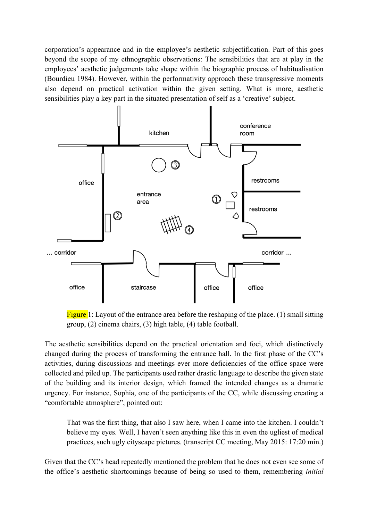corporation's appearance and in the employee's aesthetic subjectification. Part of this goes beyond the scope of my ethnographic observations: The sensibilities that are at play in the employees' aesthetic judgements take shape within the biographic process of habitualisation (Bourdieu 1984). However, within the performativity approach these transgressive moments also depend on practical activation within the given setting. What is more, aesthetic sensibilities play a key part in the situated presentation of self as a 'creative' subject.



Figure 1: Layout of the entrance area before the reshaping of the place. (1) small sitting group, (2) cinema chairs, (3) high table, (4) table football.

The aesthetic sensibilities depend on the practical orientation and foci, which distinctively changed during the process of transforming the entrance hall. In the first phase of the CC's activities, during discussions and meetings ever more deficiencies of the office space were collected and piled up. The participants used rather drastic language to describe the given state of the building and its interior design, which framed the intended changes as a dramatic urgency. For instance, Sophia, one of the participants of the CC, while discussing creating a "comfortable atmosphere", pointed out:

That was the first thing, that also I saw here, when I came into the kitchen. I couldn't believe my eyes. Well, I haven't seen anything like this in even the ugliest of medical practices, such ugly cityscape pictures. (transcript CC meeting, May 2015: 17:20 min.)

Given that the CC's head repeatedly mentioned the problem that he does not even see some of the office's aesthetic shortcomings because of being so used to them, remembering *initial*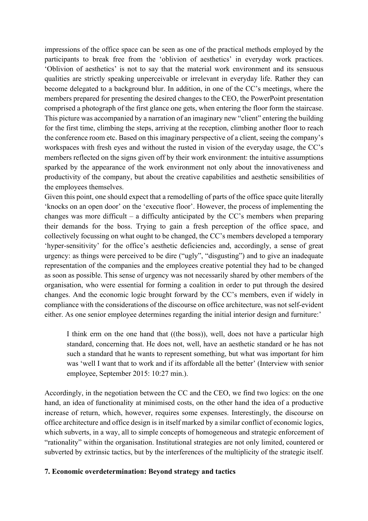impressions of the office space can be seen as one of the practical methods employed by the participants to break free from the 'oblivion of aesthetics' in everyday work practices. 'Oblivion of aesthetics' is not to say that the material work environment and its sensuous qualities are strictly speaking unperceivable or irrelevant in everyday life. Rather they can become delegated to a background blur. In addition, in one of the CC's meetings, where the members prepared for presenting the desired changes to the CEO, the PowerPoint presentation comprised a photograph of the first glance one gets, when entering the floor form the staircase. This picture was accompanied by a narration of an imaginary new "client" entering the building for the first time, climbing the steps, arriving at the reception, climbing another floor to reach the conference room etc. Based on this imaginary perspective of a client, seeing the company's workspaces with fresh eyes and without the rusted in vision of the everyday usage, the CC's members reflected on the signs given off by their work environment: the intuitive assumptions sparked by the appearance of the work environment not only about the innovativeness and productivity of the company, but about the creative capabilities and aesthetic sensibilities of the employees themselves.

Given this point, one should expect that a remodelling of parts of the office space quite literally 'knocks on an open door' on the 'executive floor'. However, the process of implementing the changes was more difficult – a difficulty anticipated by the CC's members when preparing their demands for the boss. Trying to gain a fresh perception of the office space, and collectively focussing on what ought to be changed, the CC's members developed a temporary 'hyper-sensitivity' for the office's aesthetic deficiencies and, accordingly, a sense of great urgency: as things were perceived to be dire ("ugly", "disgusting") and to give an inadequate representation of the companies and the employees creative potential they had to be changed as soon as possible. This sense of urgency was not necessarily shared by other members of the organisation, who were essential for forming a coalition in order to put through the desired changes. And the economic logic brought forward by the CC's members, even if widely in compliance with the considerations of the discourse on office architecture, was not self-evident either. As one senior employee determines regarding the initial interior design and furniture:'

I think erm on the one hand that ((the boss)), well, does not have a particular high standard, concerning that. He does not, well, have an aesthetic standard or he has not such a standard that he wants to represent something, but what was important for him was 'well I want that to work and if its affordable all the better' (Interview with senior employee, September 2015: 10:27 min.).

Accordingly, in the negotiation between the CC and the CEO, we find two logics: on the one hand, an idea of functionality at minimised costs, on the other hand the idea of a productive increase of return, which, however, requires some expenses. Interestingly, the discourse on office architecture and office design is in itself marked by a similar conflict of economic logics, which subverts, in a way, all to simple concepts of homogeneous and strategic enforcement of "rationality" within the organisation. Institutional strategies are not only limited, countered or subverted by extrinsic tactics, but by the interferences of the multiplicity of the strategic itself.

## **7. Economic overdetermination: Beyond strategy and tactics**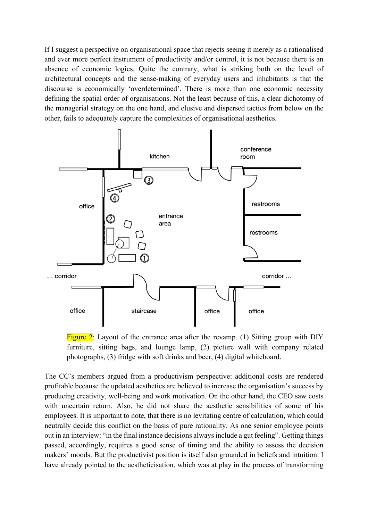If I suggest a perspective on organisational space that rejects seeing it merely as a rationalised and ever more perfect instrument of productivity and/or control, it is not because there is an absence of economic logics. Quite the contrary, what is striking both on the level of architectural concepts and the sense-making of everyday users and inhabitants is that the discourse is economically 'overdetermined'. There is more than one economic necessity defining the spatial order of organisations. Not the least because of this, a clear dichotomy of the managerial strategy on the one hand, and elusive and dispersed tactics from below on the other, fails to adequately capture the complexities of organisational aesthetics.



Figure  $2$ : Layout of the entrance area after the revamp. (1) Sitting group with DIY furniture, sitting bags, and lounge lamp, (2) picture wall with company related photographs, (3) fridge with soft drinks and beer, (4) digital whiteboard.

The CC's members argued from a productivism perspective: additional costs are rendered profitable because the updated aesthetics are believed to increase the organisation's success by producing creativity, well-being and work motivation. On the other hand, the CEO saw costs with uncertain return. Also, he did not share the aesthetic sensibilities of some of his employees. It is important to note, that there is no levitating centre of calculation, which could neutrally decide this conflict on the basis of pure rationality. As one senior employee points out in an interview: "in the final instance decisions always include a gut feeling". Getting things passed, accordingly, requires a good sense of timing and the ability to assess the decision makers' moods. But the productivist position is itself also grounded in beliefs and intuition. I have already pointed to the aestheticisation, which was at play in the process of transforming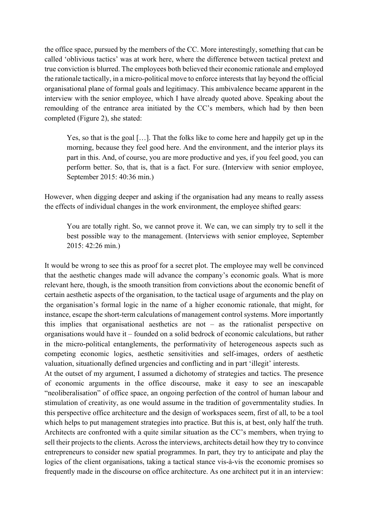the office space, pursued by the members of the CC. More interestingly, something that can be called 'oblivious tactics' was at work here, where the difference between tactical pretext and true conviction is blurred. The employees both believed their economic rationale and employed the rationale tactically, in a micro-political move to enforce interests that lay beyond the official organisational plane of formal goals and legitimacy. This ambivalence became apparent in the interview with the senior employee, which I have already quoted above. Speaking about the remoulding of the entrance area initiated by the CC's members, which had by then been completed (Figure 2), she stated:

Yes, so that is the goal […]. That the folks like to come here and happily get up in the morning, because they feel good here. And the environment, and the interior plays its part in this. And, of course, you are more productive and yes, if you feel good, you can perform better. So, that is, that is a fact. For sure. (Interview with senior employee, September 2015: 40:36 min.)

However, when digging deeper and asking if the organisation had any means to really assess the effects of individual changes in the work environment, the employee shifted gears:

You are totally right. So, we cannot prove it. We can, we can simply try to sell it the best possible way to the management. (Interviews with senior employee, September 2015: 42:26 min.)

It would be wrong to see this as proof for a secret plot. The employee may well be convinced that the aesthetic changes made will advance the company's economic goals. What is more relevant here, though, is the smooth transition from convictions about the economic benefit of certain aesthetic aspects of the organisation, to the tactical usage of arguments and the play on the organisation's formal logic in the name of a higher economic rationale, that might, for instance, escape the short-term calculations of management control systems. More importantly this implies that organisational aesthetics are not – as the rationalist perspective on organisations would have it – founded on a solid bedrock of economic calculations, but rather in the micro-political entanglements, the performativity of heterogeneous aspects such as competing economic logics, aesthetic sensitivities and self-images, orders of aesthetic valuation, situationally defined urgencies and conflicting and in part 'illegit' interests.

At the outset of my argument, I assumed a dichotomy of strategies and tactics. The presence of economic arguments in the office discourse, make it easy to see an inescapable "neoliberalisation" of office space, an ongoing perfection of the control of human labour and stimulation of creativity, as one would assume in the tradition of governmentality studies. In this perspective office architecture and the design of workspaces seem, first of all, to be a tool which helps to put management strategies into practice. But this is, at best, only half the truth. Architects are confronted with a quite similar situation as the CC's members, when trying to sell their projects to the clients. Across the interviews, architects detail how they try to convince entrepreneurs to consider new spatial programmes. In part, they try to anticipate and play the logics of the client organisations, taking a tactical stance vis-à-vis the economic promises so frequently made in the discourse on office architecture. As one architect put it in an interview: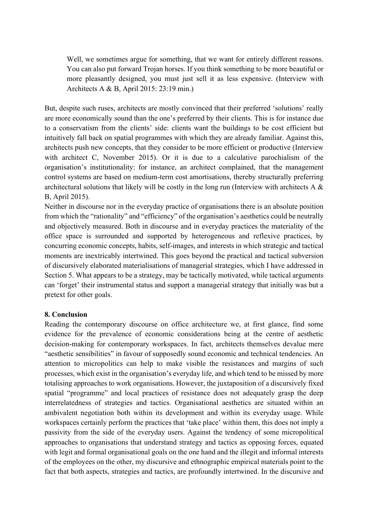Well, we sometimes argue for something, that we want for entirely different reasons. You can also put forward Trojan horses. If you think something to be more beautiful or more pleasantly designed, you must just sell it as less expensive. (Interview with Architects A & B, April 2015: 23:19 min.)

But, despite such ruses, architects are mostly convinced that their preferred 'solutions' really are more economically sound than the one's preferred by their clients. This is for instance due to a conservatism from the clients' side: clients want the buildings to be cost efficient but intuitively fall back on spatial programmes with which they are already familiar. Against this, architects push new concepts, that they consider to be more efficient or productive (Interview with architect C, November 2015). Or it is due to a calculative parochialism of the organisation's institutionality: for instance, an architect complained, that the management control systems are based on medium-term cost amortisations, thereby structurally preferring architectural solutions that likely will be costly in the long run (Interview with architects A & B, April 2015).

Neither in discourse nor in the everyday practice of organisations there is an absolute position from which the "rationality" and "efficiency" of the organisation's aesthetics could be neutrally and objectively measured. Both in discourse and in everyday practices the materiality of the office space is surrounded and supported by heterogeneous and reflexive practices, by concurring economic concepts, habits, self-images, and interests in which strategic and tactical moments are inextricably intertwined. This goes beyond the practical and tactical subversion of discursively elaborated materialisations of managerial strategies, which I have addressed in Section 5. What appears to be a strategy, may be tactically motivated, while tactical arguments can 'forget' their instrumental status and support a managerial strategy that initially was but a pretext for other goals.

## **8. Conclusion**

Reading the contemporary discourse on office architecture we, at first glance, find some evidence for the prevalence of economic considerations being at the centre of aesthetic decision-making for contemporary workspaces. In fact, architects themselves devalue mere "aesthetic sensibilities" in favour of supposedly sound economic and technical tendencies. An attention to micropolitics can help to make visible the resistances and margins of such processes, which exist in the organisation's everyday life, and which tend to be missed by more totalising approaches to work organisations. However, the juxtaposition of a discursively fixed spatial "programme" and local practices of resistance does not adequately grasp the deep interrelatedness of strategies and tactics. Organisational aesthetics are situated within an ambivalent negotiation both within its development and within its everyday usage. While workspaces certainly perform the practices that 'take place' within them, this does not imply a passivity from the side of the everyday users. Against the tendency of some micropolitical approaches to organisations that understand strategy and tactics as opposing forces, equated with legit and formal organisational goals on the one hand and the illegit and informal interests of the employees on the other, my discursive and ethnographic empirical materials point to the fact that both aspects, strategies and tactics, are profoundly intertwined. In the discursive and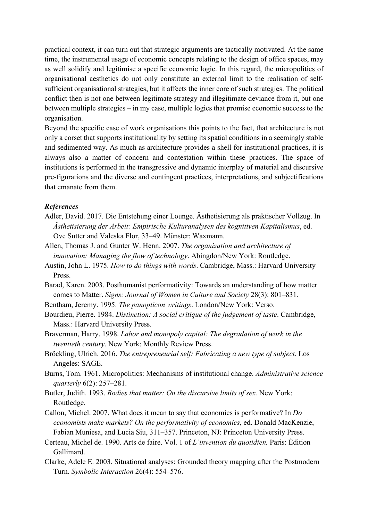practical context, it can turn out that strategic arguments are tactically motivated. At the same time, the instrumental usage of economic concepts relating to the design of office spaces, may as well solidify and legitimise a specific economic logic. In this regard, the micropolitics of organisational aesthetics do not only constitute an external limit to the realisation of selfsufficient organisational strategies, but it affects the inner core of such strategies. The political conflict then is not one between legitimate strategy and illegitimate deviance from it, but one between multiple strategies – in my case, multiple logics that promise economic success to the organisation.

Beyond the specific case of work organisations this points to the fact, that architecture is not only a corset that supports institutionality by setting its spatial conditions in a seemingly stable and sedimented way. As much as architecture provides a shell for institutional practices, it is always also a matter of concern and contestation within these practices. The space of institutions is performed in the transgressive and dynamic interplay of material and discursive pre-figurations and the diverse and contingent practices, interpretations, and subjectifications that emanate from them.

#### *References*

- Adler, David. 2017. Die Entstehung einer Lounge. Ästhetisierung als praktischer Vollzug. In *Ästhetisierung der Arbeit: Empirische Kulturanalysen des kognitiven Kapitalismus*, ed. Ove Sutter and Valeska Flor, 33–49. Münster: Waxmann.
- Allen, Thomas J. and Gunter W. Henn. 2007. *The organization and architecture of innovation: Managing the flow of technology*. Abingdon/New York: Routledge.
- Austin, John L. 1975. *How to do things with words*. Cambridge, Mass.: Harvard University Press.
- Barad, Karen. 2003. Posthumanist performativity: Towards an understanding of how matter comes to Matter. *Signs: Journal of Women in Culture and Society* 28(3): 801–831.
- Bentham, Jeremy. 1995. *The panopticon writings*. London/New York: Verso.
- Bourdieu, Pierre. 1984. *Distinction: A social critique of the judgement of taste*. Cambridge, Mass.: Harvard University Press.
- Braverman, Harry. 1998. *Labor and monopoly capital: The degradation of work in the twentieth century*. New York: Monthly Review Press.
- Bröckling, Ulrich. 2016. *The entrepreneurial self: Fabricating a new type of subject*. Los Angeles: SAGE.
- Burns, Tom. 1961. Micropolitics: Mechanisms of institutional change. *Administrative science quarterly* 6(2): 257–281.
- Butler, Judith. 1993. *Bodies that matter: On the discursive limits of sex.* New York: Routledge.
- Callon, Michel. 2007. What does it mean to say that economics is performative? In *Do economists make markets? On the performativity of economics*, ed. Donald MacKenzie, Fabian Muniesa, and Lucia Siu, 311–357. Princeton, NJ: Princeton University Press.
- Certeau, Michel de. 1990. Arts de faire. Vol. 1 of *L'invention du quotidien.* Paris: Édition Gallimard.
- Clarke, Adele E. 2003. Situational analyses: Grounded theory mapping after the Postmodern Turn. *Symbolic Interaction* 26(4): 554–576.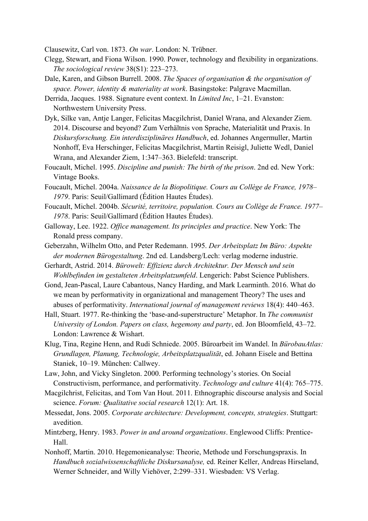Clausewitz, Carl von. 1873. *On war*. London: N. Trübner.

- Clegg, Stewart, and Fiona Wilson. 1990. Power, technology and flexibility in organizations. *The sociological review* 38(S1): 223–273.
- Dale, Karen, and Gibson Burrell. 2008. *The Spaces of organisation & the organisation of space. Power, identity & materiality at work*. Basingstoke: Palgrave Macmillan.
- Derrida, Jacques. 1988. Signature event context. In *Limited Inc*, 1–21. Evanston: Northwestern University Press.
- Dyk, Silke van, Antje Langer, Felicitas Macgilchrist, Daniel Wrana, and Alexander Ziem. 2014. Discourse and beyond? Zum Verhältnis von Sprache, Materialität und Praxis. In *Diskursforschung. Ein interdisziplinäres Handbuch*, ed. Johannes Angermuller, Martin Nonhoff, Eva Herschinger, Felicitas Macgilchrist, Martin Reisigl, Juliette Wedl, Daniel Wrana, and Alexander Ziem, 1:347–363. Bielefeld: transcript.
- Foucault, Michel. 1995. *Discipline and punish: The birth of the prison*. 2nd ed. New York: Vintage Books.
- Foucault, Michel. 2004a. *Naissance de la Biopolitique. Cours au Collège de France, 1978– 1979*. Paris: Seuil/Gallimard (Édition Hautes Études).
- Foucault, Michel. 2004b. *Sécurité, territoire, population. Cours au Collège de France. 1977– 1978*. Paris: Seuil/Gallimard (Édition Hautes Études).
- Galloway, Lee. 1922. *Office management. Its principles and practice*. New York: The Ronald press company.
- Geberzahn, Wilhelm Otto, and Peter Redemann. 1995. *Der Arbeitsplatz Im Büro: Aspekte der modernen Bürogestaltung*. 2nd ed. Landsberg/Lech: verlag moderne industrie.
- Gerhardt, Astrid. 2014. *Bürowelt: Effizienz durch Architektur. Der Mensch und sein Wohlbefinden im gestalteten Arbeitsplatzumfeld*. Lengerich: Pabst Science Publishers.
- Gond, Jean-Pascal, Laure Cabantous, Nancy Harding, and Mark Learminth. 2016. What do we mean by performativity in organizational and management Theory? The uses and abuses of performativity. *International journal of management reviews* 18(4): 440–463.
- Hall, Stuart. 1977. Re-thinking the 'base-and-superstructure' Metaphor. In *The communist University of London. Papers on class, hegemony and party*, ed. Jon Bloomfield, 43–72. London: Lawrence & Wishart.
- Klug, Tina, Regine Henn, and Rudi Schniede. 2005. Büroarbeit im Wandel. In *BürobauAtlas: Grundlagen, Planung, Technologie, Arbeitsplatzqualität*, ed. Johann Eisele and Bettina Staniek, 10–19. München: Callwey.
- Law, John, and Vicky Singleton. 2000. Performing technology's stories. On Social Constructivism, performance, and performativity. *Technology and culture* 41(4): 765–775.
- Macgilchrist, Felicitas, and Tom Van Hout. 2011. Ethnographic discourse analysis and Social science. *Forum: Qualitative social research* 12(1): Art. 18.
- Messedat, Jons. 2005. *Corporate architecture: Development, concepts, strategies*. Stuttgart: avedition.
- Mintzberg, Henry. 1983. *Power in and around organizations*. Englewood Cliffs: Prentice-Hall.
- Nonhoff, Martin. 2010. Hegemonieanalyse: Theorie, Methode und Forschungspraxis. In *Handbuch sozialwissenschaftliche Diskursanalyse,* ed. Reiner Keller, Andreas Hirseland, Werner Schneider, and Willy Viehöver, 2:299–331. Wiesbaden: VS Verlag.